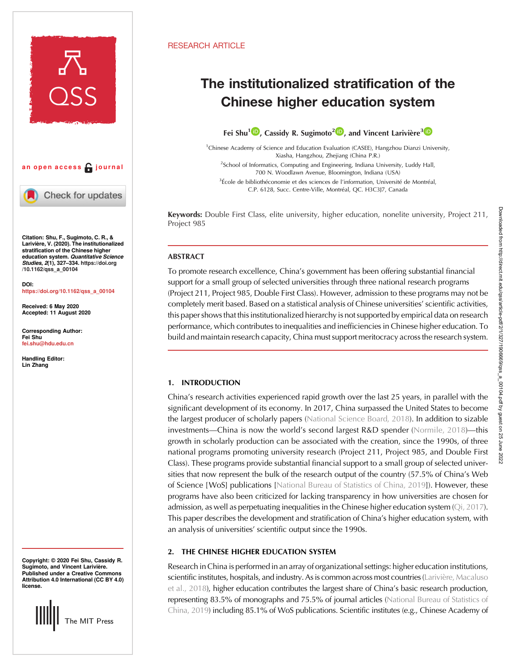

## an open access  $\bigcap$  journal

Check for updates

Citation: Shu, F., Sugimoto, C. R., & Larivière, V. (2020). The institutionalized stratification of the Chinese higher education system. Quantitative Science Studies, 2(1), 327–334. [https://doi.org](https://doi.org/10.1162/qss_a_00104) [/10.1162/qss\\_a\\_00104](https://doi.org/10.1162/qss_a_00104)

DOI: [https://doi.org/10.1162/qss\\_a\\_00104](https://doi.org/10.1162/qss_a_00104)

Received: 6 May 2020 Accepted: 11 August 2020

Corresponding Author: Fei Shu [fei.shu@hdu.edu.cn](mailto:fei.shu@hdu.edu.cn)

Handling Editor: Lin Zhang

Copyright: © 2020 Fei Shu, Cassidy R. Sugimoto, and Vincent Larivière. Published under a Creative Commons Attribution 4.0 International (CC BY 4.0) license.



### RESEARCH ARTICLE

# The institutionalized stratification of the Chinese higher education system

Fei Shu<sup>1</sup><sup>(D</sup>[,](https://orcid.org/0000-0002-1946-5065) Cassidy R. Sugimoto<sup>[2](https://orcid.org/0000-0001-8608-3203)</sup><sup>(D</sup>), and Vincent Larivière<sup>3</sup><sup>(D</sup>)

<sup>1</sup>Chinese Academy of Science and Education Evaluation (CASEE), Hangzhou Dianzi University, Xiasha, Hangzhou, Zhejiang (China P.R.)

<sup>2</sup>School of Informatics, Computing and Engineering, Indiana University, Luddy Hall, 700 N. Woodlawn Avenue, Bloomington, Indiana (USA)

<sup>3</sup>École de bibliothéconomie et des sciences de l'information, Université de Montréal, C.P. 6128, Succ. Centre-Ville, Montréal, QC. H3C3J7, Canada

Keywords: Double First Class, elite university, higher education, nonelite university, Project 211, Project 985

### ABSTRACT

To promote research excellence, China's government has been offering substantial financial support for a small group of selected universities through three national research programs (Project 211, Project 985, Double First Class). However, admission to these programs may not be completely merit based. Based on a statistical analysis of Chinese universities' scientific activities, this paper shows that this institutionalized hierarchy is not supported by empirical data on research performance, which contributes to inequalities and inefficiencies in Chinese higher education. To build and maintain research capacity, China must support meritocracy across the research system.

### 1. INTRODUCTION

China's research activities experienced rapid growth over the last 25 years, in parallel with the significant development of its economy. In 2017, China surpassed the United States to become the largest producer of scholarly papers [\(National Science Board, 2018](#page-7-0)). In addition to sizable investments—China is now the world's second largest R&D spender [\(Normile, 2018](#page-7-0))—this growth in scholarly production can be associated with the creation, since the 1990s, of three national programs promoting university research (Project 211, Project 985, and Double First Class). These programs provide substantial financial support to a small group of selected universities that now represent the bulk of the research output of the country (57.5% of China's Web of Science [WoS] publications [\[National Bureau of Statistics of China, 2019](#page-7-0)]). However, these programs have also been criticized for lacking transparency in how universities are chosen for admission, as well as perpetuating inequalities in the Chinese higher education system ([Qi, 2017\)](#page-7-0). This paper describes the development and stratification of China's higher education system, with an analysis of universities' scientific output since the 1990s.

## 2. THE CHINESE HIGHER EDUCATION SYSTEM

Research in China is performed in an array of organizational settings: higher education institutions, scientific institutes, hospitals, and industry. As is common across most countries ([Larivière, Macaluso](#page-6-0) [et al., 2018\)](#page-6-0), higher education contributes the largest share of China's basic research production, representing 83.5% of monographs and 75.5% of journal articles [\(National Bureau of Statistics of](#page-7-0) [China, 2019](#page-7-0)) including 85.1% of WoS publications. Scientific institutes (e.g., Chinese Academy of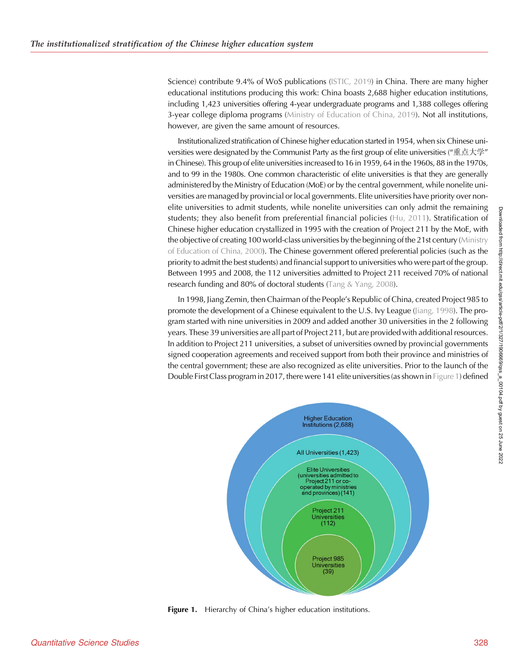Science) contribute 9.4% of WoS publications ([ISTIC, 2019](#page-6-0)) in China. There are many higher educational institutions producing this work: China boasts 2,688 higher education institutions, including 1,423 universities offering 4-year undergraduate programs and 1,388 colleges offering 3-year college diploma programs ([Ministry of Education of China, 2019](#page-6-0)). Not all institutions, however, are given the same amount of resources.

Institutionalized stratification of Chinese higher education started in 1954, when six Chinese universities were designated by the Communist Party as the first group of elite universities ("重点大学" in Chinese). This group of elite universities increased to 16 in 1959, 64 in the 1960s, 88 in the 1970s, and to 99 in the 1980s. One common characteristic of elite universities is that they are generally administered by the Ministry of Education (MoE) or by the central government, while nonelite universities are managed by provincial or local governments. Elite universities have priority over nonelite universities to admit students, while nonelite universities can only admit the remaining students; they also benefit from preferential financial policies ([Hu, 2011](#page-6-0)). Stratification of Chinese higher education crystallized in 1995 with the creation of Project 211 by the MoE, with the objective of creating 100 world-class universities by the beginning of the 21st century ([Ministry](#page-6-0) [of Education of China, 2000\)](#page-6-0). The Chinese government offered preferential policies (such as the priority to admit the best students) and financial support to universities who were part of the group. Between 1995 and 2008, the 112 universities admitted to Project 211 received 70% of national research funding and 80% of doctoral students [\(Tang & Yang, 2008](#page-7-0)).

In 1998, Jiang Zemin, then Chairman of the People's Republic of China, created Project 985 to promote the development of a Chinese equivalent to the U.S. Ivy League ([Jiang, 1998\)](#page-6-0). The program started with nine universities in 2009 and added another 30 universities in the 2 following years. These 39 universities are all part of Project 211, but are provided with additional resources. In addition to Project 211 universities, a subset of universities owned by provincial governments signed cooperation agreements and received support from both their province and ministries of the central government; these are also recognized as elite universities. Prior to the launch of the Double First Class program in 2017, there were 141 elite universities (as shown in Figure 1) defined



Figure 1. Hierarchy of China's higher education institutions.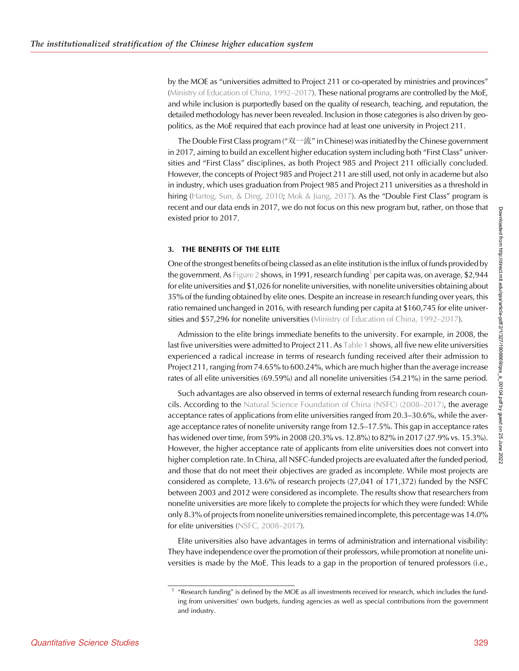by the MOE as "universities admitted to Project 211 or co-operated by ministries and provinces" [\(Ministry of Education of China, 1992](#page-6-0)–2017). These national programs are controlled by the MoE, and while inclusion is purportedly based on the quality of research, teaching, and reputation, the detailed methodology has never been revealed. Inclusion in those categories is also driven by geopolitics, as the MoE required that each province had at least one university in Project 211.

The Double First Class program ( $\mathcal{R}$   $\sim$   $\tilde{\mathcal{R}}$ " in Chinese) was initiated by the Chinese government in 2017, aiming to build an excellent higher education system including both "First Class" universities and "First Class" disciplines, as both Project 985 and Project 211 officially concluded. However, the concepts of Project 985 and Project 211 are still used, not only in academe but also in industry, which uses graduation from Project 985 and Project 211 universities as a threshold in hiring [\(Hartog, Sun, & Ding, 2010;](#page-6-0) [Mok & Jiang, 2017](#page-7-0)). As the "Double First Class" program is recent and our data ends in 2017, we do not focus on this new program but, rather, on those that existed prior to 2017.

### 3. THE BENEFITS OF THE ELITE

One of the strongest benefits of being classed as an elite institution is the influx of funds provided by the government. As [Figure 2](#page-3-0) shows, in 1991, research funding<sup>1</sup> per capita was, on average, \$2,944 for elite universities and \$1,026 for nonelite universities, with nonelite universities obtaining about 35% of the funding obtained by elite ones. Despite an increase in research funding over years, this ratio remained unchanged in 2016, with research funding per capita at \$160,745 for elite universities and \$57,296 for nonelite universities [\(Ministry of Education of China, 1992](#page-6-0)–2017).

Admission to the elite brings immediate benefits to the university. For example, in 2008, the last five universities were admitted to Project 211. As [Table 1](#page-3-0) shows, all five new elite universities experienced a radical increase in terms of research funding received after their admission to Project 211, ranging from 74.65% to 600.24%, which are much higher than the average increase rates of all elite universities (69.59%) and all nonelite universities (54.21%) in the same period.

Such advantages are also observed in terms of external research funding from research councils. According to the [Natural Science Foundation of China \(NSFC\) \(2008](#page-7-0)–2017), the average acceptance rates of applications from elite universities ranged from 20.3–30.6%, while the average acceptance rates of nonelite university range from 12.5–17.5%. This gap in acceptance rates has widened over time, from 59% in 2008 (20.3% vs. 12.8%) to 82% in 2017 (27.9% vs. 15.3%). However, the higher acceptance rate of applicants from elite universities does not convert into higher completion rate. In China, all NSFC-funded projects are evaluated after the funded period, and those that do not meet their objectives are graded as incomplete. While most projects are considered as complete, 13.6% of research projects (27,041 of 171,372) funded by the NSFC between 2003 and 2012 were considered as incomplete. The results show that researchers from nonelite universities are more likely to complete the projects for which they were funded: While only 8.3% of projects from nonelite universities remained incomplete, this percentage was 14.0% for elite universities ([NSFC, 2008](#page-7-0)–2017).

Elite universities also have advantages in terms of administration and international visibility: They have independence over the promotion of their professors, while promotion at nonelite universities is made by the MoE. This leads to a gap in the proportion of tenured professors (i.e.,

<sup>&</sup>lt;sup>1</sup> "Research funding" is defined by the MOE as all investments received for research, which includes the funding from universities' own budgets, funding agencies as well as special contributions from the government and industry.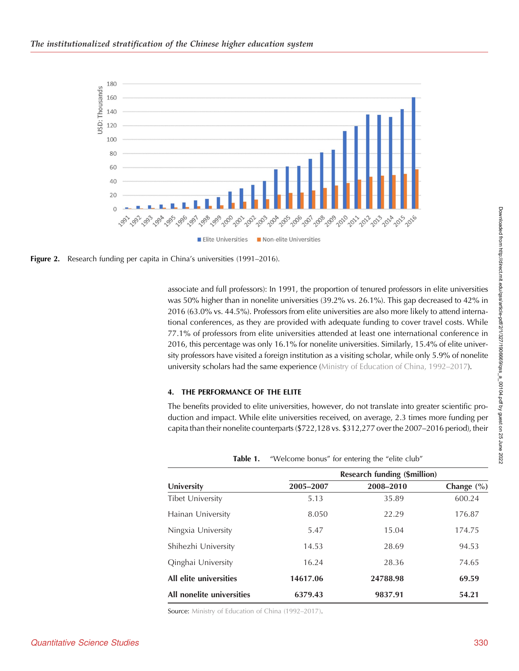<span id="page-3-0"></span>



associate and full professors): In 1991, the proportion of tenured professors in elite universities was 50% higher than in nonelite universities (39.2% vs. 26.1%). This gap decreased to 42% in 2016 (63.0% vs. 44.5%). Professors from elite universities are also more likely to attend international conferences, as they are provided with adequate funding to cover travel costs. While 77.1% of professors from elite universities attended at least one international conference in 2016, this percentage was only 16.1% for nonelite universities. Similarly, 15.4% of elite university professors have visited a foreign institution as a visiting scholar, while only 5.9% of nonelite university scholars had the same experience [\(Ministry of Education of China, 1992](#page-6-0)–2017).

### 4. THE PERFORMANCE OF THE ELITE

The benefits provided to elite universities, however, do not translate into greater scientific production and impact. While elite universities received, on average, 2.3 times more funding per capita than their nonelite counterparts (\$722,128 vs. \$312,277 over the 2007–2016 period), their

| Table 1.                  | "Welcome bonus" for entering the "elite club" |                              |                |
|---------------------------|-----------------------------------------------|------------------------------|----------------|
|                           |                                               | Research funding (\$million) |                |
| University                | 2005-2007                                     | 2008-2010                    | Change $(\% )$ |
| <b>Tibet University</b>   | 5.13                                          | 35.89                        | 600.24         |
| Hainan University         | 8.050                                         | 22.29                        | 176.87         |
| Ningxia University        | 5.47                                          | 15.04                        | 174.75         |
| Shihezhi University       | 14.53                                         | 28.69                        | 94.53          |
| Qinghai University        | 16.24                                         | 28.36                        | 74.65          |
| All elite universities    | 14617.06                                      | 24788.98                     | 69.59          |
| All nonelite universities | 6379.43                                       | 9837.91                      | 54.21          |

Source: [Ministry of Education of China \(1992](#page-6-0)–2017).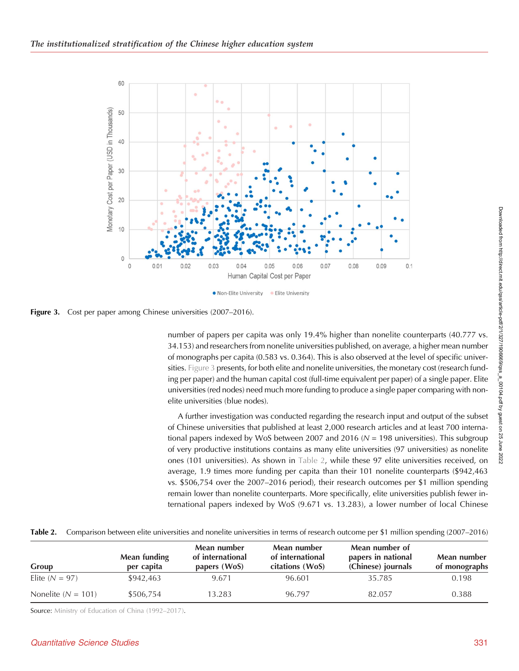

Figure 3. Cost per paper among Chinese universities (2007–2016).

number of papers per capita was only 19.4% higher than nonelite counterparts (40.777 vs. 34.153) and researchers from nonelite universities published, on average, a higher mean number of monographs per capita (0.583 vs. 0.364). This is also observed at the level of specific universities. Figure 3 presents, for both elite and nonelite universities, the monetary cost (research funding per paper) and the human capital cost (full-time equivalent per paper) of a single paper. Elite universities (red nodes) need much more funding to produce a single paper comparing with nonelite universities (blue nodes).

A further investigation was conducted regarding the research input and output of the subset of Chinese universities that published at least 2,000 research articles and at least 700 international papers indexed by WoS between 2007 and 2016  $(N = 198)$  universities). This subgroup of very productive institutions contains as many elite universities (97 universities) as nonelite ones (101 universities). As shown in Table 2, while these 97 elite universities received, on average, 1.9 times more funding per capita than their 101 nonelite counterparts (\$942,463 vs. \$506,754 over the 2007–2016 period), their research outcomes per \$1 million spending remain lower than nonelite counterparts. More specifically, elite universities publish fewer international papers indexed by WoS (9.671 vs. 13.283), a lower number of local Chinese

|                        |                            | Mean number<br>of international<br>papers (WoS) | Mean number                         | Mean number of                           | Mean number<br>of monographs |
|------------------------|----------------------------|-------------------------------------------------|-------------------------------------|------------------------------------------|------------------------------|
| Group                  | Mean funding<br>per capita |                                                 | of international<br>citations (WoS) | papers in national<br>(Chinese) journals |                              |
| Elite $(N = 97)$       | \$942,463                  | 9.671                                           | 96.601                              | 35.785                                   | 0.198                        |
| Nonelite ( $N = 101$ ) | \$506,754                  | 13.283                                          | 96.797                              | 82.057                                   | 0.388                        |

Table 2. Comparison between elite universities and nonelite universities in terms of research outcome per \$1 million spending (2007–2016)

Source: [Ministry of Education of China \(1992](#page-6-0)–2017).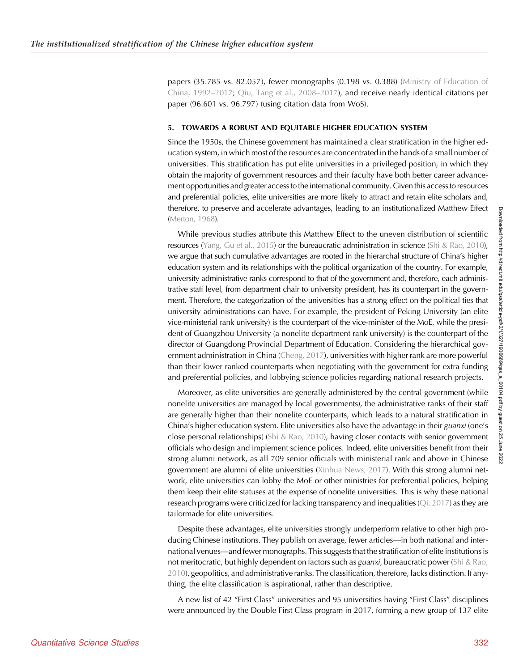papers (35.785 vs. 82.057), fewer monographs (0.198 vs. 0.388) [\(Ministry of Education of](#page-6-0) [China, 1992](#page-6-0)–2017; [Qiu, Tang et al., 2008](#page-7-0)–2017), and receive nearly identical citations per paper (96.601 vs. 96.797) (using citation data from WoS).

#### 5. TOWARDS A ROBUST AND EQUITABLE HIGHER EDUCATION SYSTEM

Since the 1950s, the Chinese government has maintained a clear stratification in the higher education system, in which most of the resources are concentrated in the hands of a small number of universities. This stratification has put elite universities in a privileged position, in which they obtain the majority of government resources and their faculty have both better career advancement opportunities and greater access to the international community. Given this access to resources and preferential policies, elite universities are more likely to attract and retain elite scholars and, therefore, to preserve and accelerate advantages, leading to an institutionalized Matthew Effect [\(Merton, 1968\)](#page-6-0).

While previous studies attribute this Matthew Effect to the uneven distribution of scientific resources [\(Yang, Gu et al., 2015](#page-7-0)) or the bureaucratic administration in science ([Shi & Rao, 2010](#page-7-0)), we argue that such cumulative advantages are rooted in the hierarchal structure of China's higher education system and its relationships with the political organization of the country. For example, university administrative ranks correspond to that of the government and, therefore, each administrative staff level, from department chair to university president, has its counterpart in the government. Therefore, the categorization of the universities has a strong effect on the political ties that university administrations can have. For example, the president of Peking University (an elite vice-ministerial rank university) is the counterpart of the vice-minister of the MoE, while the president of Guangzhou University (a nonelite department rank university) is the counterpart of the director of Guangdong Provincial Department of Education. Considering the hierarchical government administration in China ([Cheng, 2017\)](#page-6-0), universities with higher rank are more powerful than their lower ranked counterparts when negotiating with the government for extra funding and preferential policies, and lobbying science policies regarding national research projects.

Moreover, as elite universities are generally administered by the central government (while nonelite universities are managed by local governments), the administrative ranks of their staff are generally higher than their nonelite counterparts, which leads to a natural stratification in China's higher education system. Elite universities also have the advantage in their guanxi (one's close personal relationships) [\(Shi & Rao, 2010](#page-7-0)), having closer contacts with senior government officials who design and implement science polices. Indeed, elite universities benefit from their strong alumni network, as all 709 senior officials with ministerial rank and above in Chinese government are alumni of elite universities [\(Xinhua News, 2017](#page-7-0)). With this strong alumni network, elite universities can lobby the MoE or other ministries for preferential policies, helping them keep their elite statuses at the expense of nonelite universities. This is why these national research programs were criticized for lacking transparency and inequalities  $(Qi, 2017)$  $(Qi, 2017)$  as they are tailormade for elite universities.

Despite these advantages, elite universities strongly underperform relative to other high producing Chinese institutions. They publish on average, fewer articles—in both national and international venues—and fewer monographs. This suggests that the stratification of elite institutions is not meritocratic, but highly dependent on factors such as guanxi, bureaucratic power ([Shi & Rao,](#page-7-0) [2010\)](#page-7-0), geopolitics, and administrative ranks. The classification, therefore, lacks distinction. If anything, the elite classification is aspirational, rather than descriptive.

A new list of 42 "First Class" universities and 95 universities having "First Class" disciplines were announced by the Double First Class program in 2017, forming a new group of 137 elite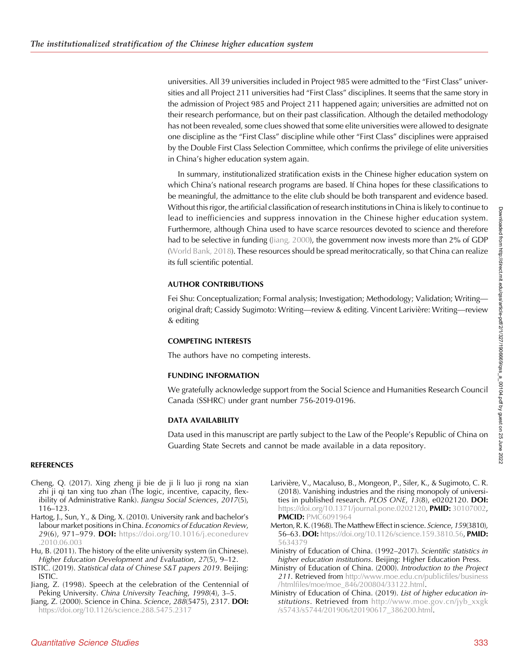<span id="page-6-0"></span>universities. All 39 universities included in Project 985 were admitted to the "First Class" universities and all Project 211 universities had "First Class" disciplines. It seems that the same story in the admission of Project 985 and Project 211 happened again; universities are admitted not on their research performance, but on their past classification. Although the detailed methodology has not been revealed, some clues showed that some elite universities were allowed to designate one discipline as the "First Class" discipline while other "First Class" disciplines were appraised by the Double First Class Selection Committee, which confirms the privilege of elite universities in China's higher education system again.

In summary, institutionalized stratification exists in the Chinese higher education system on which China's national research programs are based. If China hopes for these classifications to be meaningful, the admittance to the elite club should be both transparent and evidence based. Without this rigor, the artificial classification of research institutions in China is likely to continue to lead to inefficiencies and suppress innovation in the Chinese higher education system. Furthermore, although China used to have scarce resources devoted to science and therefore had to be selective in funding (Jiang, 2000), the government now invests more than 2% of GDP [\(World Bank, 2018\)](#page-7-0). These resources should be spread meritocratically, so that China can realize its full scientific potential.

## AUTHOR CONTRIBUTIONS

Fei Shu: Conceptualization; Formal analysis; Investigation; Methodology; Validation; Writing original draft; Cassidy Sugimoto: Writing—review & editing. Vincent Larivière: Writing—review & editing

### COMPETING INTERESTS

The authors have no competing interests.

### FUNDING INFORMATION

We gratefully acknowledge support from the Social Science and Humanities Research Council Canada (SSHRC) under grant number 756-2019-0196.

### DATA AVAILABILITY

Data used in this manuscript are partly subject to the Law of the People's Republic of China on Guarding State Secrets and cannot be made available in a data repository.

### **REFERENCES**

- Cheng, Q. (2017). Xing zheng ji bie de ji li luo ji rong na xian zhi ji qi tan xing tuo zhan (The logic, incentive, capacity, flexibility of Administrative Rank). Jiangsu Social Sciences, 2017(5), 116–123.
- Hartog, J., Sun, Y., & Ding, X. (2010). University rank and bachelor's labour market positions in China. Economics of Education Review, 29(6), 971–979. **DOI:** [https://doi.org/10.1016/j.econedurev](https://doi.org/10.1016/j.econedurev.2010.06.003) [.2010.06.003](https://doi.org/10.1016/j.econedurev.2010.06.003)
- Hu, B. (2011). The history of the elite university system (in Chinese). Higher Education Development and Evaluation, 27(5), 9–12.
- ISTIC. (2019). Statistical data of Chinese S&T papers 2019. Beijing: ISTIC.
- Jiang, Z. (1998). Speech at the celebration of the Centennial of Peking University. China University Teaching, 1998(4), 3–5.
- Jiang, Z. (2000). Science in China. Science, 288(5475), 2317. DOI: <https://doi.org/10.1126/science.288.5475.2317>
- Larivière, V., Macaluso, B., Mongeon, P., Siler, K., & Sugimoto, C. R. (2018). Vanishing industries and the rising monopoly of universities in published research. PLOS ONE, 13(8), e0202120. DOI: <https://doi.org/10.1371/journal.pone.0202120>, PMID: [30107002,](https://europepmc.org/article/MED/30107002) **PMCID: [PMC6091964](https://www.ncbi.nlm.nih.gov/pmc/articles/PMC6091964)**
- Merton, R. K. (1968). The Matthew Effect in science. Science, 159(3810), 56–63. DOI: [https://doi.org/10.1126/science.159.3810.56,](https://doi.org/10.1126/science.159.3810.56) PMID: [5634379](https://europepmc.org/article/MED/5634379)
- Ministry of Education of China. (1992–2017). Scientific statistics in higher education institutions. Beijing: Higher Education Press.
- Ministry of Education of China. (2000). Introduction to the Project 211. Retrieved from [http://www.moe.edu.cn/publicfiles/business](http://www.moe.edu.cn/publicfiles/htmlfiles/moe/moe_846/200804/33122.html) [/htmlfiles/moe/moe\\_846/200804/33122.html](http://www.moe.edu.cn/publicfiles/htmlfiles/moe/moe_846/200804/33122.html).
- Ministry of Education of China. (2019). List of higher education institutions. Retrieved from [http://www.moe.gov.cn/jyb\\_xxgk](http://www.moe.gov.cn/jyb_xxgk/s5743/s5744/201906/t20190617_386200.html) [/s5743/s5744/201906/t20190617\\_386200.html.](http://www.moe.gov.cn/jyb_xxgk/s5743/s5744/201906/t20190617_386200.html)